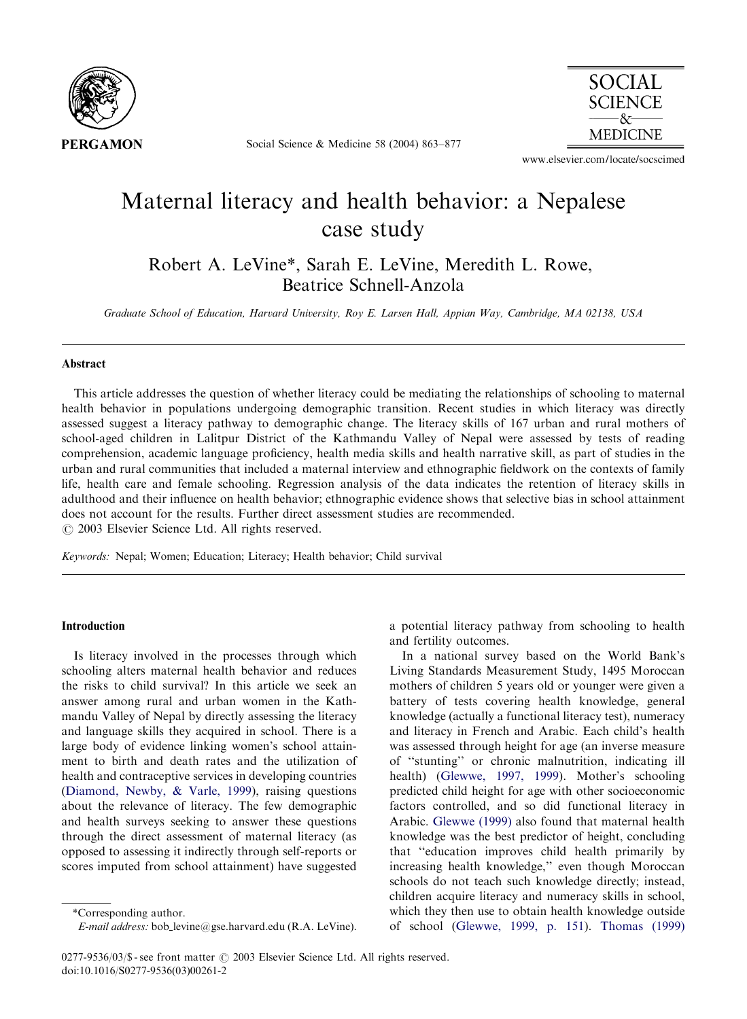

Social Science & Medicine 58 (2004) 863–877



www.elsevier.com/locate/socscimed

## Maternal literacy and health behavior: a Nepalese case study

Robert A. LeVine\*, Sarah E. LeVine, Meredith L. Rowe, Beatrice Schnell-Anzola

Graduate School of Education, Harvard University, Roy E. Larsen Hall, Appian Way, Cambridge, MA 02138, USA

## Abstract

This article addresses the question of whether literacy could be mediating the relationships of schooling to maternal health behavior in populations undergoing demographic transition. Recent studies in which literacy was directly assessed suggest a literacy pathway to demographic change. The literacy skills of 167 urban and rural mothers of school-aged children in Lalitpur District of the Kathmandu Valley of Nepal were assessed by tests of reading comprehension, academic language proficiency, health media skills and health narrative skill, as part of studies in the urban and rural communities that included a maternal interview and ethnographic fieldwork on the contexts of family life, health care and female schooling. Regression analysis of the data indicates the retention of literacy skills in adulthood and their influence on health behavior; ethnographic evidence shows that selective bias in school attainment does not account for the results. Further direct assessment studies are recommended.  $\odot$  2003 Elsevier Science Ltd. All rights reserved.

Keywords: Nepal; Women; Education; Literacy; Health behavior; Child survival

## Introduction

Is literacy involved in the processes through which schooling alters maternal health behavior and reduces the risks to child survival? In this article we seek an answer among rural and urban women in the Kathmandu Valley of Nepal by directly assessing the literacy and language skills they acquired in school. There is a large body of evidence linking women's school attainment to birth and death rates and the utilization of health and contraceptive services in developing countries ([Diamond, Newby, & Varle, 1999](#page--1-0)), raising questions about the relevance of literacy. The few demographic and health surveys seeking to answer these questions through the direct assessment of maternal literacy (as opposed to assessing it indirectly through self-reports or scores imputed from school attainment) have suggested

a potential literacy pathway from schooling to health and fertility outcomes.

In a national survey based on the World Bank's Living Standards Measurement Study, 1495 Moroccan mothers of children 5 years old or younger were given a battery of tests covering health knowledge, general knowledge (actually a functional literacy test), numeracy and literacy in French and Arabic. Each child's health was assessed through height for age (an inverse measure of ''stunting'' or chronic malnutrition, indicating ill health) [\(Glewwe, 1997, 1999](#page--1-0)). Mother's schooling predicted child height for age with other socioeconomic factors controlled, and so did functional literacy in Arabic. [Glewwe \(1999\)](#page--1-0) also found that maternal health knowledge was the best predictor of height, concluding that "education improves child health primarily by increasing health knowledge,'' even though Moroccan schools do not teach such knowledge directly; instead, children acquire literacy and numeracy skills in school, which they then use to obtain health knowledge outside of school [\(Glewwe, 1999, p. 151\)](#page--1-0). [Thomas\(1999\)](#page--1-0)

<sup>\*</sup>Corresponding author.

E-mail address: bob levine@gse.harvard.edu (R.A. LeVine).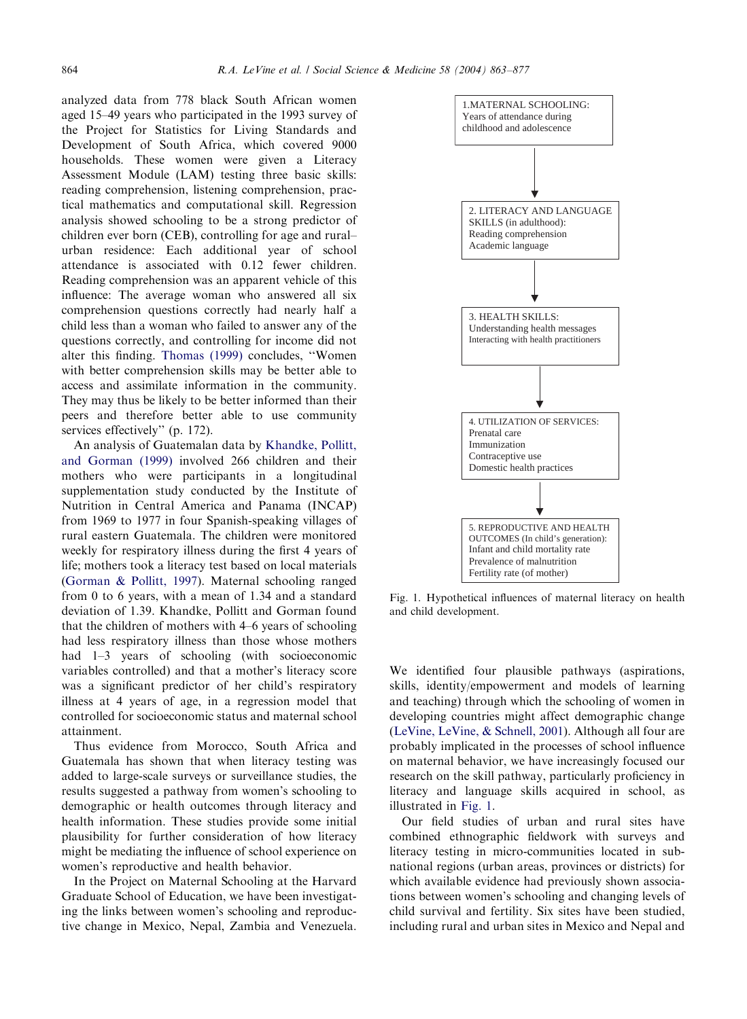analyzed data from 778 black South African women aged 15–49 yearswho participated in the 1993 survey of the Project for Statistics for Living Standards and Development of South Africa, which covered 9000 households. These women were given a Literacy Assessment Module (LAM) testing three basic skills: reading comprehension, listening comprehension, practical mathematics and computational skill. Regression analysis showed schooling to be a strong predictor of children ever born (CEB), controlling for age and rural– urban residence: Each additional year of school attendance is associated with 0.12 fewer children. Reading comprehension was an apparent vehicle of this influence: The average woman who answered all six comprehension questions correctly had nearly half a child less than a woman who failed to answer any of the questions correctly, and controlling for income did not alter this finding. Thomas (1999) concludes, "Women with better comprehension skills may be better able to access and assimilate information in the community. They may thus be likely to be better informed than their peers and therefore better able to use community services effectively'' (p. 172).

An analysis of Guatemalan data by [Khandke, Pollitt,](#page--1-0) [and Gorman \(1999\)](#page--1-0) involved 266 children and their mothers who were participants in a longitudinal supplementation study conducted by the Institute of Nutrition in Central America and Panama (INCAP) from 1969 to 1977 in four Spanish-speaking villages of rural eastern Guatemala. The children were monitored weekly for respiratory illness during the first 4 years of life; mothers took a literacy test based on local materials ([Gorman & Pollitt, 1997\)](#page--1-0). Maternal schooling ranged from 0 to 6 years, with a mean of 1.34 and a standard deviation of 1.39. Khandke, Pollitt and Gorman found that the children of mothers with  $4-6$  years of schooling had less respiratory illness than those whose mothers had 1–3 years of schooling (with socioeconomic variables controlled) and that a mother's literacy score was a significant predictor of her child's respiratory illness at 4 years of age, in a regression model that controlled for socioeconomic status and maternal school attainment.

Thus evidence from Morocco, South Africa and Guatemala has shown that when literacy testing was added to large-scale surveys or surveillance studies, the results suggested a pathway from women's schooling to demographic or health outcomes through literacy and health information. These studies provide some initial plausibility for further consideration of how literacy might be mediating the influence of school experience on women's reproductive and health behavior.

In the Project on Maternal Schooling at the Harvard Graduate School of Education, we have been investigating the links between women's schooling and reproductive change in Mexico, Nepal, Zambia and Venezuela.



Fig. 1. Hypothetical influences of maternal literacy on health and child development.

We identified four plausible pathways (aspirations, skills, identity/empowerment and models of learning and teaching) through which the schooling of women in developing countries might affect demographic change ([LeVine, LeVine,](#page--1-0) [& Schnell, 2001\)](#page--1-0). Although all four are probably implicated in the processes of school influence on maternal behavior, we have increasingly focused our research on the skill pathway, particularly proficiency in literacy and language skills acquired in school, as illustrated in Fig. 1.

Our field studies of urban and rural sites have combined ethnographic fieldwork with surveys and literacy testing in micro-communities located in subnational regions (urban areas, provinces or districts) for which available evidence had previously shown associations between women's schooling and changing levels of child survival and fertility. Six sites have been studied, including rural and urban sites in Mexico and Nepal and